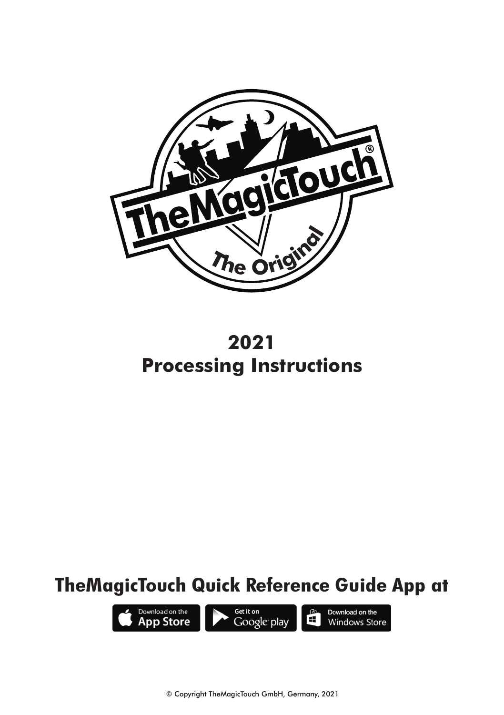

**2021 Processing Instructions**

# **TheMagicTouch Quick Reference Guide App at**

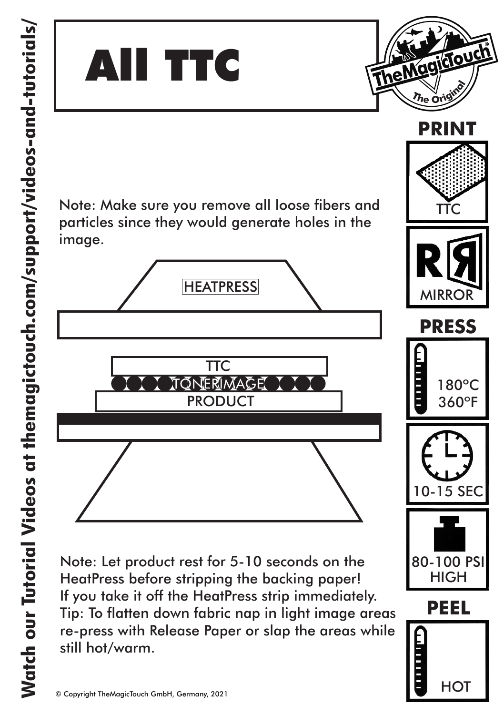

Note: Make sure you remove all loose fibers and particles since they would generate holes in the image.



**PRODUCT** 

Tip: To flatten down fabric nap in light image areas re-press with Release Paper or slap the areas while still hot/warm.



 $180^{\circ}$ C 360ºF

**HOT** 

TTC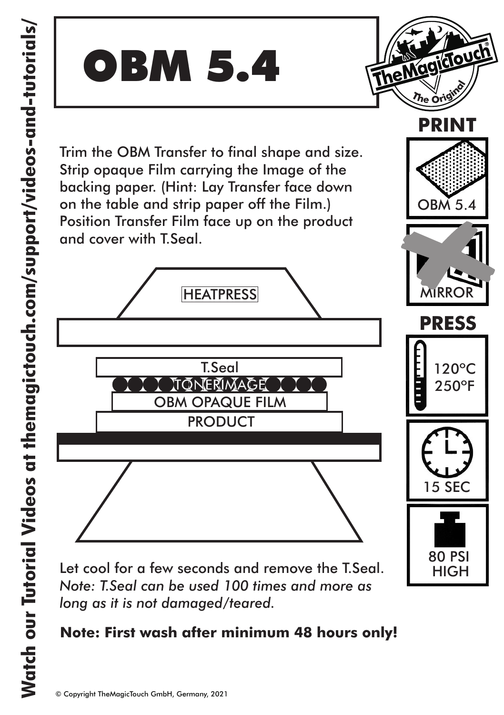

OBM 5.4

**PRESS**

120ºC 250ºF

i<br>Bud

**PRINT**

15 SEC

80 PSI **HIGH** 

**Note: First wash after minimum 48 hours only!**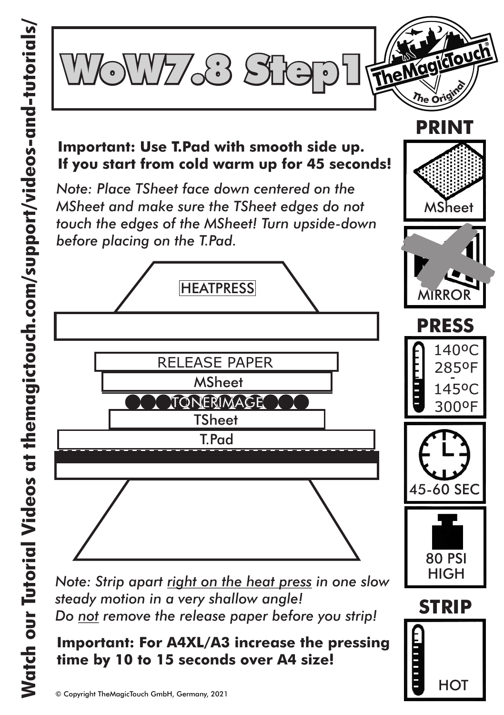

#### **Important: Use T.Pad with smooth side up. If you start from cold warm up for 45 seconds!**

*Note: Place TSheet face down centered on the MSheet and make sure the TSheet edges do not touch the edges of the MSheet! Turn upside-down before placing on the T.Pad.*



*Note: Strip apart right on the heat press in one slow steady motion in a very shallow angle! Do not remove the release paper before you strip!*

**Important: For A4XL/A3 increase the pressing time by 10 to 15 seconds over A4 size!**



MSheet

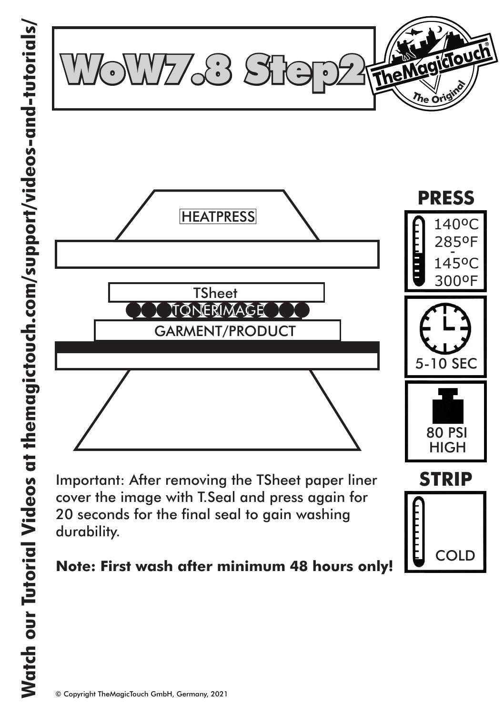

Important: After removing the TSheet paper liner cover the image with T.Seal and press again for 20 seconds for the final seal to gain washing durability.

#### **Note: First wash after minimum 48 hours only!**

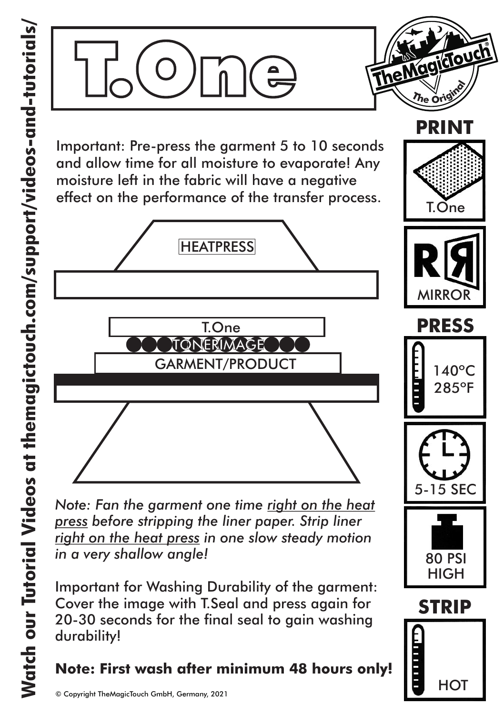

*Note: Fan the garment one time right on the heat press before stripping the liner paper. Strip liner right on the heat press in one slow steady motion in a very shallow angle!*

Important for Washing Durability of the garment: Cover the image with T.Seal and press again for 20-30 seconds for the final seal to gain washing durability!

## **Note: First wash after minimum 48 hours only!**



**HOT** 

**PRINT**

 $\eta_\mathsf{e}$   $\mathrm{c}$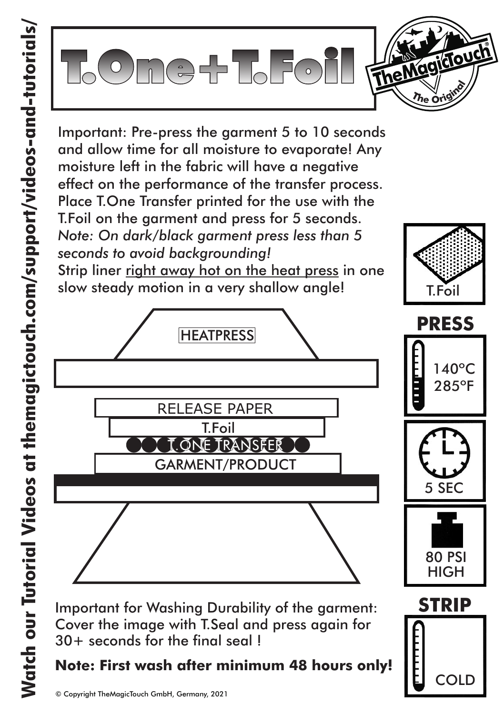



Important for Washing Durability of the garment: Cover the image with T.Seal and press again for 30+ seconds for the final seal !

### **Note: First wash after minimum 48 hours only!**

**COLD**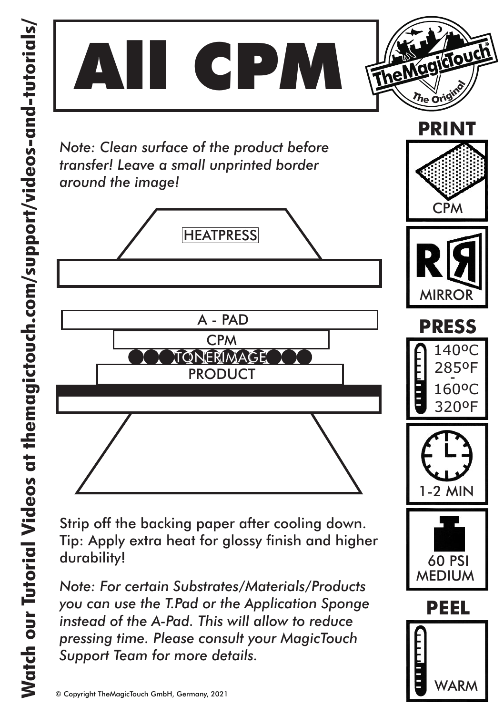

VARI

*Support Team for more details.*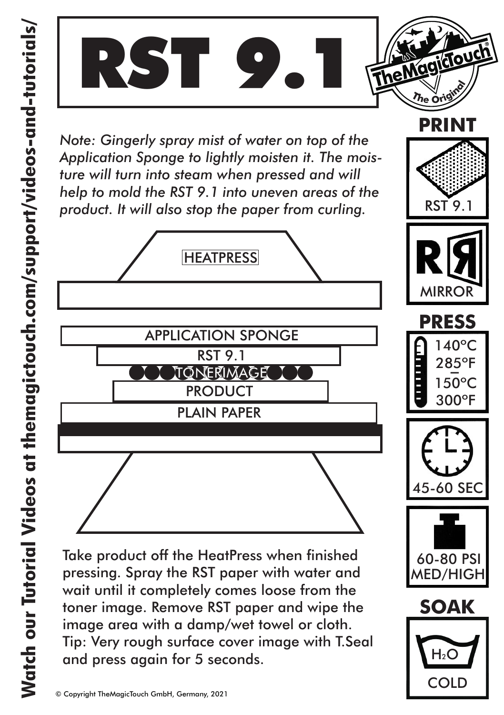

*Note: Gingerly spray mist of water on top of the Application Sponge to lightly moisten it. The moisture will turn into steam when pressed and will help to mold the RST 9.1 into uneven areas of the product. It will also stop the paper from curling.*



pressing. Spray the RST paper with water and wait until it completely comes loose from the toner image. Remove RST paper and wipe the image area with a damp/wet towel or cloth. Tip: Very rough surface cover image with T.Seal and press again for 5 seconds. Take product off the HeatPress when finished



RST 9.1



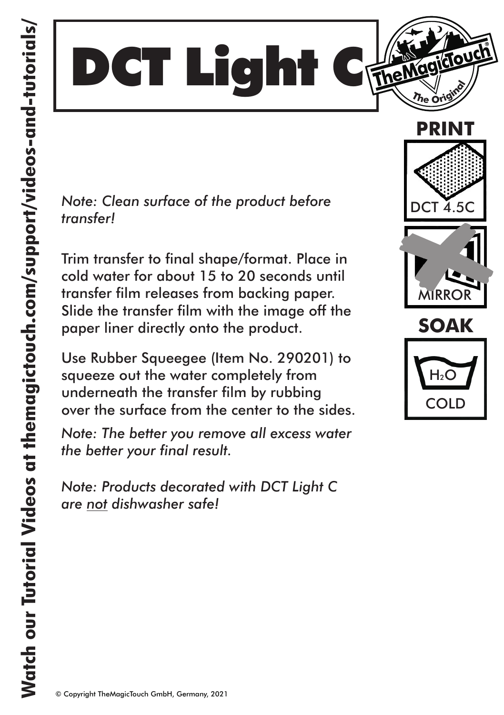

*Note: Clean surface of the product before transfer!* 

Trim transfer to final shape/format. Place in cold water for about 15 to 20 seconds until transfer film releases from backing paper. Slide the transfer film with the image off the paper liner directly onto the product.

Use Rubber Squeegee (Item No. 290201) to squeeze out the water completely from underneath the transfer film by rubbing over the surface from the center to the sides.

*Note: The better you remove all excess water the better your final result.*

*Note: Products decorated with DCT Light C are not dishwasher safe!* 





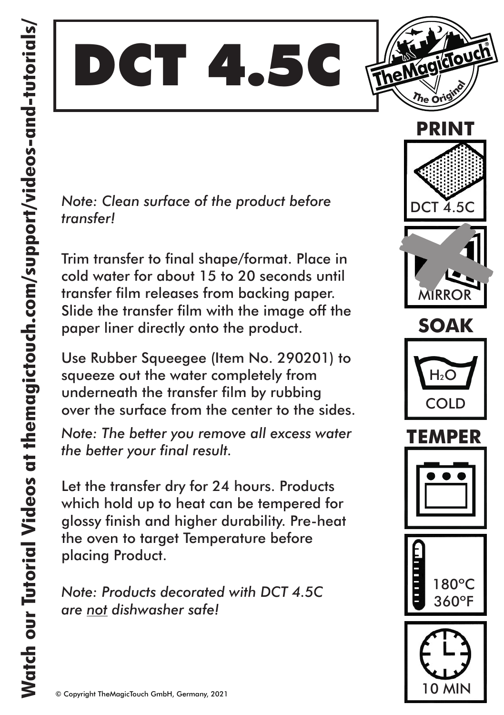TheMagicTouch DCT 4.5C

*Note: Clean surface of the product before transfer!* 

Trim transfer to final shape/format. Place in cold water for about 15 to 20 seconds until transfer film releases from backing paper. Slide the transfer film with the image off the paper liner directly onto the product.

Use Rubber Squeegee (Item No. 290201) to squeeze out the water completely from underneath the transfer film by rubbing over the surface from the center to the sides.

*Note: The better you remove all excess water the better your final result.*

Let the transfer dry for 24 hours. Products which hold up to heat can be tempered for glossy finish and higher durability. Pre-heat the oven to target Temperature before placing Product.

*Note: Products decorated with DCT 4.5C are not dishwasher safe!* 













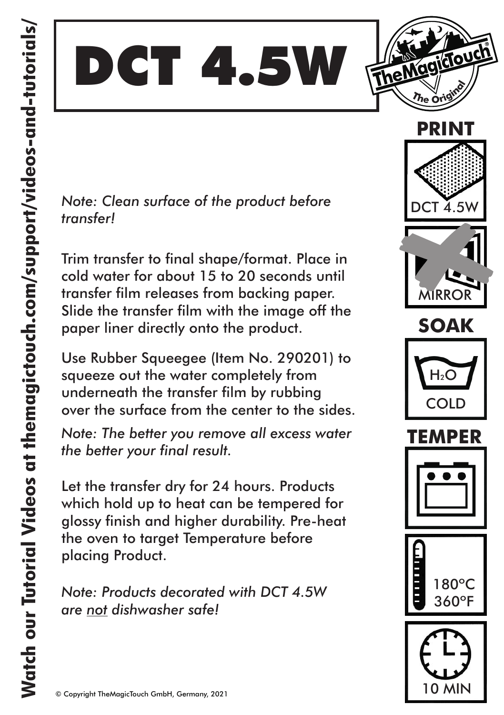



*Note: Clean surface of the product before transfer!* 

Trim transfer to final shape/format. Place in cold water for about 15 to 20 seconds until transfer film releases from backing paper. Slide the transfer film with the image off the paper liner directly onto the product.

Use Rubber Squeegee (Item No. 290201) to squeeze out the water completely from underneath the transfer film by rubbing over the surface from the center to the sides.

*Note: The better you remove all excess water the better your final result.*

Let the transfer dry for 24 hours. Products which hold up to heat can be tempered for glossy finish and higher durability. Pre-heat the oven to target Temperature before placing Product.

*Note: Products decorated with DCT 4.5W are not dishwasher safe!* 













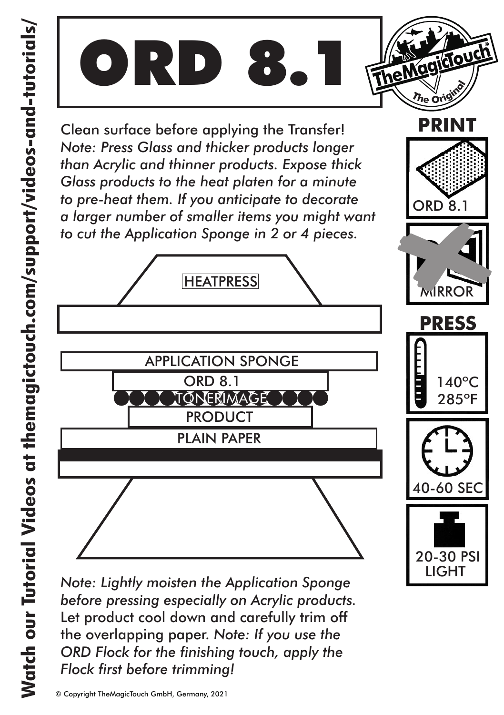

*Note: Lightly moisten the Application Sponge before pressing especially on Acrylic products.* Let product cool down and carefully trim off the overlapping paper. *Note: If you use the ORD Flock for the finishing touch, apply the Flock first before trimming!*